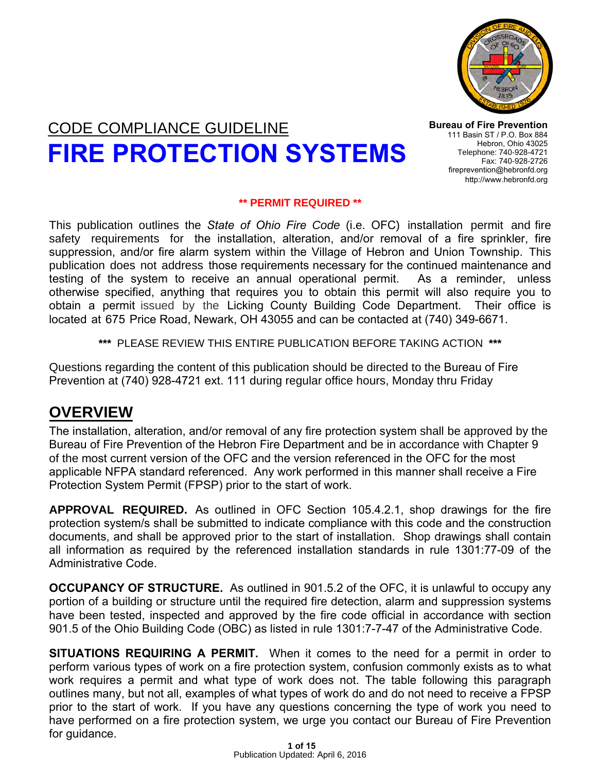

# CODE COMPLIANCE GUIDELINE **FIRE PROTECTION SYSTEMS**

**Bureau of Fire Prevention** 111 Basin ST / P.O. Box 884 Hebron, Ohio 43025 Telephone: 740-928-4721 Fax: 740-928-2726 fireprevention@hebronfd.org <http://www.hebronfd.org>

#### **\*\* PERMIT REQUIRED \*\***

This publication outlines the *State of Ohio Fire Code* (i.e. OFC) installation permit and fire safety requirements for the installation, alteration, and/or removal of a fire sprinkler, fire suppression, and/or fire alarm system within the Village of Hebron and Union Township. This publication does not address those requirements necessary for the continued maintenance and testing of the system to receive an annual operational permit. As a reminder, unless otherwise specified, anything that requires you to obtain this permit will also require you to obtain a permit issued by the Licking County Building Code Department. Their office is located at 675 Price Road, Newark, OH 43055 and can be contacted at (740) 349-6671.

**\*\*\*** PLEASE REVIEW THIS ENTIRE PUBLICATION BEFORE TAKING ACTION **\*\*\*** 

Questions regarding the content of this publication should be directed to the Bureau of Fire Prevention at (740) 928-4721 ext. 111 during regular office hours, Monday thru Friday

#### **OVERVIEW**

The installation, alteration, and/or removal of any fire protection system shall be approved by the Bureau of Fire Prevention of the Hebron Fire Department and be in accordance with Chapter 9 of the most current version of the OFC and the version referenced in the OFC for the most applicable NFPA standard referenced. Any work performed in this manner shall receive a Fire Protection System Permit (FPSP) prior to the start of work.

**APPROVAL REQUIRED.** As outlined in OFC Section 105.4.2.1, shop drawings for the fire protection system/s shall be submitted to indicate compliance with this code and the construction documents, and shall be approved prior to the start of installation. Shop drawings shall contain all information as required by the referenced installation standards in rule 1301:77-09 of the Administrative Code.

**OCCUPANCY OF STRUCTURE.** As outlined in 901.5.2 of the OFC, it is unlawful to occupy any portion of a building or structure until the required fire detection, alarm and suppression systems have been tested, inspected and approved by the fire code official in accordance with section 901.5 of the Ohio Building Code (OBC) as listed in rule 1301:7-7-47 of the Administrative Code.

**SITUATIONS REQUIRING A PERMIT.** When it comes to the need for a permit in order to perform various types of work on a fire protection system, confusion commonly exists as to what work requires a permit and what type of work does not. The table following this paragraph outlines many, but not all, examples of what types of work do and do not need to receive a FPSP prior to the start of work. If you have any questions concerning the type of work you need to have performed on a fire protection system, we urge you contact our Bureau of Fire Prevention for guidance.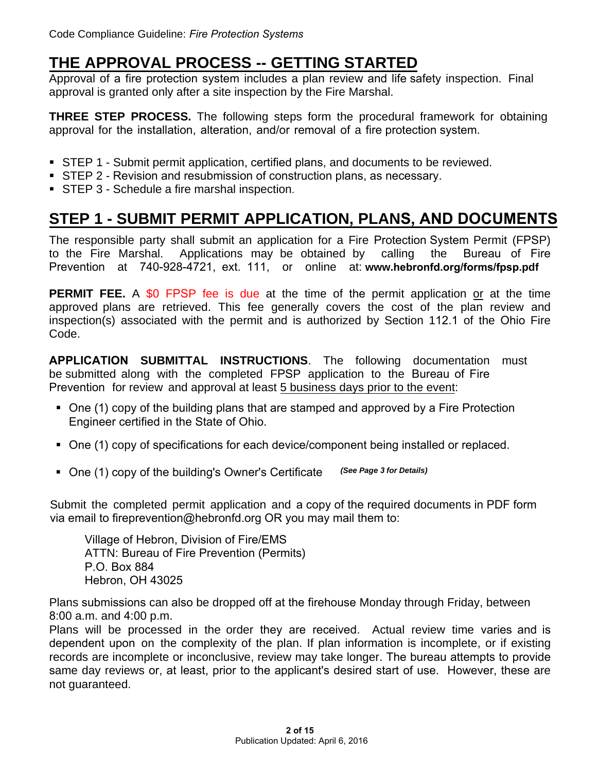### **THE APPROVAL PROCESS -- GETTING STARTED**

Approval of a fire protection system includes a plan review and life safety inspection. Final approval is granted only after a site inspection by the Fire Marshal.

**THREE STEP PROCESS.** The following steps form the procedural framework for obtaining approval for the installation, alteration, and/or removal of a fire protection system.

- STEP 1 Submit permit application, certified plans, and documents to be reviewed.
- **STEP 2 Revision and resubmission of construction plans, as necessary.**
- **STEP 3 Schedule a fire marshal inspection.**

# **STEP 1 - SUBMIT PERMIT APPLICATION, PLANS, AND DOCUMENTS**

The responsible party shall submit an application for a Fire Protection System Permit (FPSP)<br>to the Fire Marshal. Applications may be obtained by calling the Bureau of Fire to the Fire Marshal. Applications may be obtained by calling the Bureau of Fire Prevention at [740-928-4721,](http://www.hebronfd.org/forms/fsp.pdf) ext. 111, or online at: **www.hebronfd.org/forms/fpsp.pdf**

**PERMIT FEE.** A \$0 FPSP fee is due at the time of the permit application or at the time approved plans are retrieved. This fee generally covers the cost of the plan review and inspection(s) associated with the permit and is authorized by Section 112.1 of the Ohio Fire Code.

**APPLICATION SUBMITTAL INSTRUCTIONS**. The following documentation must be submitted along with the completed FPSP application to the Bureau of Fire Prevention for review and approval at least 5 business days prior to the event:

- One (1) copy of the building plans that [are stamped and](#page-5-0) approved by a Fire Protection Engineer certified in the State of Ohio.
- One (1) copy of specifications for each device/component being installed or replaced.
- One (1) copy of the building's Owner's Certificate (See Page 3 for Details)

Submit the completed permit application and a copy of the required documents in PDF form via email to fireprevention@hebronfd.org OR you may mail them to:

Village of Hebron, Division of Fire/EMS ATTN: Bureau of Fire Prevention (Permits) P.O. Box 884 Hebron, OH 43025

Plans submissions can also be dropped off at the firehouse Monday through Friday, between 8:00 a.m. and 4:00 p.m.

Plans will be processed in the order they are received. Actual review time varies and is dependent upon on the complexity of the plan. If plan information is incomplete, or if existing records are incomplete or inconclusive, review may take longer. The bureau attempts to provide same day reviews or, at least, prior to the applicant's desired start of use. However, these are not guaranteed.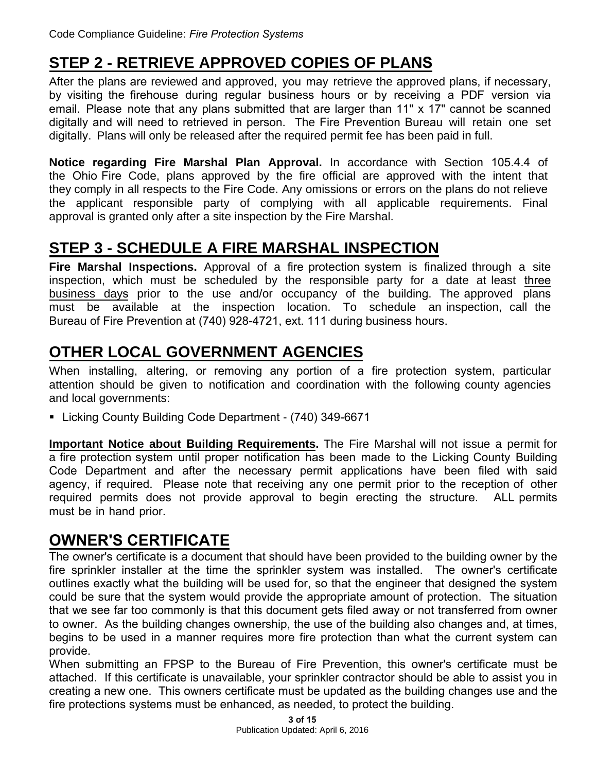# **STEP 2 - RETRIEVE APPROVED COPIES OF PLANS**

After the plans are reviewed and approved, you may retrieve the approved plans, if necessary, by visiting the firehouse during regular business hours or by receiving a PDF version via email. Please note that any plans submitted that are larger than 11" x 17" cannot be scanned digitally and will need to retrieved in person. The Fire Prevention Bureau will retain one set digitally. Plans will only be released after the required permit fee has been paid in full.

**Notice regarding Fire Marshal Plan Approval.** In accordance with Section 105.4.4 of the Ohio Fire Code, plans approved by the fire official are approved with the intent that they comply in all respects to the Fire Code. Any omissions or errors on the plans do not relieve the applicant responsible party of complying with all applicable requirements. Final approval is granted only after a site inspection by the Fire Marshal.

#### **STEP 3 - SCHEDULE A FIRE MARSHAL INSPECTION**

**Fire Marshal Inspections.** Approval of a fire protection system is finalized through a site inspection, which must be scheduled by the responsible party for a date at least three business days prior to the use and/or occupancy of the building. The approved plans must be available at the inspection location. To schedule an inspection, call the Bureau of Fire Prevention at (740) 928-4721, ext. 111 during business hours.

# **OTHER LOCAL GOVERNMENT AGENCIES**

When installing, altering, or removing any portion of a fire protection system, particular attention should be given to notification and coordination with the following county agencies and local governments:

■ Licking County Building Code Department - (740) 349-6671

**Important Notice about Building Requirements.** The Fire Marshal will not issue a permit for a fire protection system until proper notification has been made to the Licking County Building Code Department and after the necessary permit applications have been filed with said agency, if required. Please note that receiving any one permit prior to the reception of other required permits does not provide approval to begin erecting the structure. ALL permits must be in hand prior.

#### **OWNER'S CERTIFICATE**

The owner's certificate is a document that should have been provided to the building owner by the fire sprinkler installer at the time the sprinkler system was installed. The owner's certificate outlines exactly what the building will be used for, so that the engineer that designed the system could be sure that the system would provide the appropriate amount of protection. The situation that we see far too commonly is that this document gets filed away or not transferred from owner to owner. As the building changes ownership, the use of the building also changes and, at times, begins to be used in a manner requires more fire protection than what the current system can provide.

When submitting an FPSP to the Bureau of Fire Prevention, this owner's certificate must be attached. If this certificate is unavailable, your sprinkler contractor should be able to assist you in creating a new one. This owners certificate must be updated as the building changes use and the fire protections systems must be enhanced, as needed, to protect the building.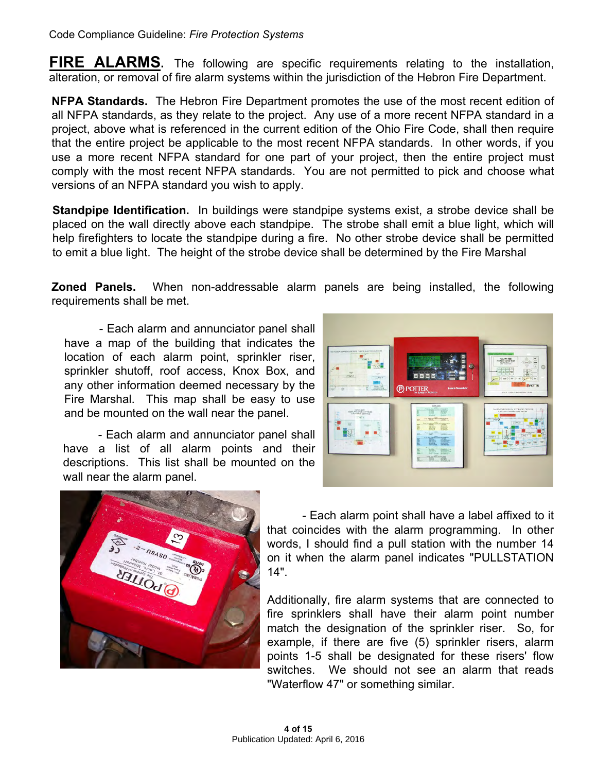**FIRE ALARMS.** The following are specific requirements relating to the installation, alteration, or removal of fire alarm systems within the jurisdiction of the Hebron Fire Department.

**NFPA Standards.** The Hebron Fire Department promotes the use of the most recent edition of all NFPA standards, as they relate to the project. Any use of a more recent NFPA standard in a project, above what is referenced in the current edition of the Ohio Fire Code, shall then require that the entire project be applicable to the most recent NFPA standards. In other words, if you use a more recent NFPA standard for one part of your project, then the entire project must comply with the most recent NFPA standards. You are not permitted to pick and choose what versions of an NFPA standard you wish to apply.

**Standpipe Identification.** In buildings were standpipe systems exist, a strobe device shall be placed on the wall directly above each standpipe. The strobe shall emit a blue light, which will help firefighters to locate the standpipe during a fire. No other strobe device shall be permitted to emit a blue light. The height of the strobe device shall be determined by the Fire Marshal

**Zoned Panels.** [When non-addressable alarm](http://www.hebronfd.org/forms/fsp.pdf) panels are being installed, the following requirements shall be met.

- Each alarm and annunciator panel shall have a map of the building that indicates the location of each alarm point, sprinkler riser, sprinkler shutoff, roof access, Knox Box, and any other information deemed necessary by the Fire Marshal. This map shall be easy to use and be mounted on the wall near the panel.

- Each alarm and annunciator panel shall have a list of all alarm points and their descriptions. This list shall be mounted on the wall near the alarm panel.





- Each alarm point shall have a label affixed to it that coincides with the alarm programming. In other words, I should find a pull station with the number 14 on it when the alarm panel indicates "PULLSTATION 14".

Additionally, fire alarm systems that are connected to fire sprinklers shall have their alarm point number match the designation of the sprinkler riser. So, for example, if there are five (5) sprinkler risers, alarm points 1-5 shall be designated for these risers' flow switches. We should not see an alarm that reads ["Waterflow 47" or some](http://www.hebronfd.org/forms/fsp.pdf)thing similar.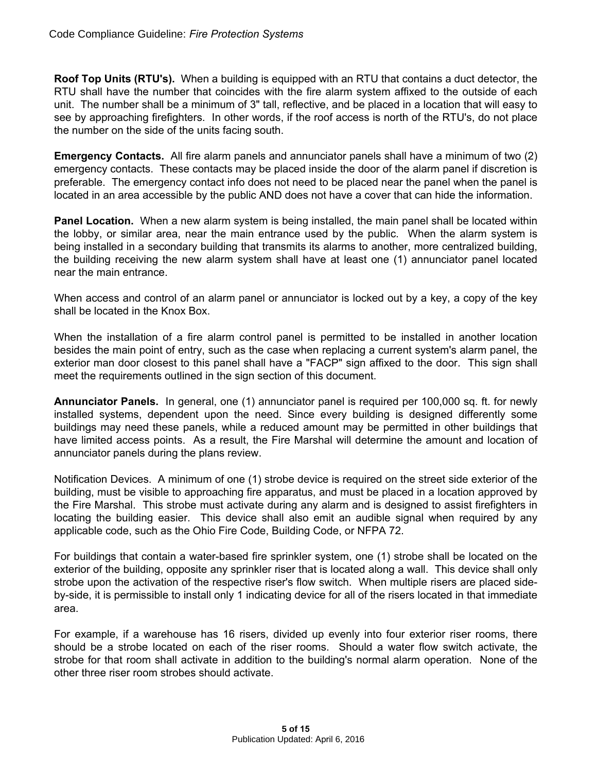**Roof Top Units (RTU's).** When a building is equipped with an RTU that contains a duct detector, the RTU shall have the number that coincides with the fire alarm system affixed to the outside of each unit. The number shall be a minimum of 3" tall, reflective, and be placed in a location that will easy to see by approaching firefighters. In other words, if the roof access is north of the RTU's, do not place the number on the side of the units facing south.

**Emergency Contacts.** All fire alarm panels and annunciator panels shall have a minimum of two (2) emergency contacts. These contacts may be placed inside the door of the alarm panel if discretion is preferable. The emergency contact info does not need to be placed near the panel when the panel is located in an area accessible by the public AND does not have a cover that can hide the information.

**Panel Location.** When a new alarm system is being installed, the main panel shall be located within the lobby, or similar area, near the main entrance used by the public. When the alarm system is being installed in a secondary building that transmits its alarms to another, more centralized building, the building receiving the new alarm system shall have at least one (1) annunciator panel located near the main entrance.

When access and control of an alarm panel or annunciator is locked out by a key, a copy of the key shall be located in the Knox Box.

When the installation of a fire alarm control panel is permitted to be installed in another location besides the main point of entry, such as the case when replacing a current system's alarm panel, the exterior man door closest to this panel shall have a "FACP" sign affixed to the door. This sign shall meet the requirements outlined in the sign section of this document.

**Annunciator Panels.** In general, one (1) annunciator panel is required per 100,000 sq. ft. for newly installed systems, dependent upon the need. Since every building is designed differently some buildings may need these panels, while a reduced amount may be permitted in other buildings that have limited access points. As a result, the Fire Marshal will determine the amount and location of annunciator panels during the plans review.

Notification Devices. A minimum of one (1) strobe device is required on the street side exterior of the building, must be visible to approaching fire apparatus, and must be placed in a location approved by the Fire Marshal. This strobe must activate during any alarm and is designed to assist firefighters in locating the building easier. This device shall also emit an audible signal when required by any applicable code, such as the Ohio Fire Code, Building Code, or NFPA 72.

For buildings that contain a water-based fire sprinkler system, one (1) strobe shall be located on the exterior of the building, opposite any sprinkler riser that is located along a wall. This device shall only strobe upon the activation of the respective riser's flow switch. When multiple risers are placed sideby-side, it is permissible to install only 1 indicating device for all of the risers located in that immediate area.

For example, if a warehouse has 16 risers, divided up evenly into four exterior riser rooms, there should be a strobe located on each of the riser rooms. Should a water flow switch activate, the strobe for that room shall activate in addition to the building's normal alarm operation. None of the other three riser room strobes should activate.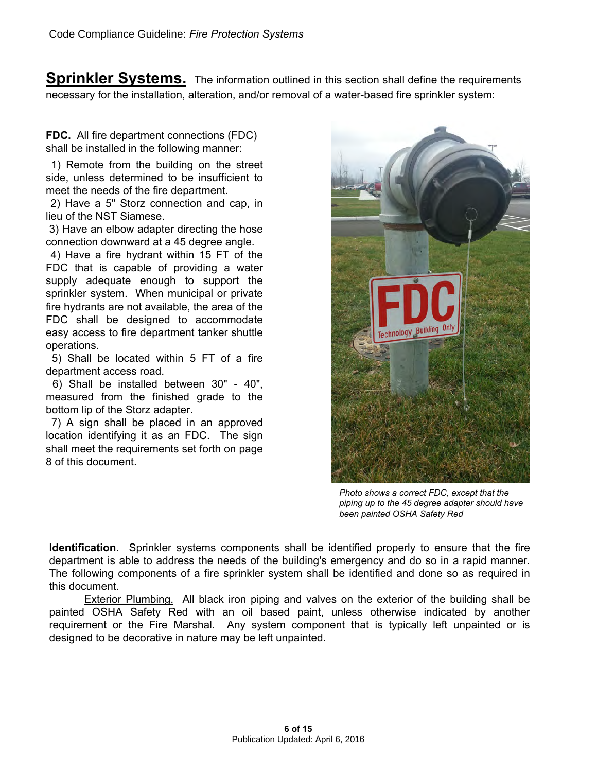<span id="page-5-0"></span>**Sprinkler Systems.** The information outlined in this section shall define the requirements necessary for the installation, alteration, and/or removal of a water-based fire sprinkler system:

**FDC.** All fire department connections (FDC) shall be installed in the following manner:

1) Remote from the building on the street side, unless determined to be insufficient to meet the needs of the fire department.

2) Have a 5" Storz connection and cap, in lieu of the NST Siamese.

3) Have an elbow adapter directing the hose connection downward at a 45 degree angle.

4) Have a fire hydrant within 15 FT of the FDC that is capable of providing a water supply adequate enough to support the sprinkler system. When municipal or private fire hydrants are not available, the area of the FDC shall be designed to accommodate easy access to fire department tanker shuttle operations.

5) Shall be located within 5 FT of a fire department access road.

6) Shall be installed between 30" - 40", measured from the finished grade to the bottom lip of the Storz adapter.

7) A sign shall be placed in an approved location identifying it as an FDC. The sign shall meet the requirements set forth on page 8 of this document.



*Photo shows a correct FDC, except that the piping up to the 45 degree adapter should have been painted OSHA Safety Red*

**Identification.** Sprinkler systems components shall be identified properly to ensure that the fire department is able to address the needs of the building's emergency and do so in a rapid manner. The following components of a fire sprinkler system shall be identified and done so as required in this document.

Exterior Plumbing. All black iron piping and valves on the exterior of the building shall be painted OSHA Safety Red with an oil based paint, unless otherwise indicated by another requirement or the Fire Marshal. Any system component that is typically left unpainted or is designed to be decorative in nature may be left unpainted.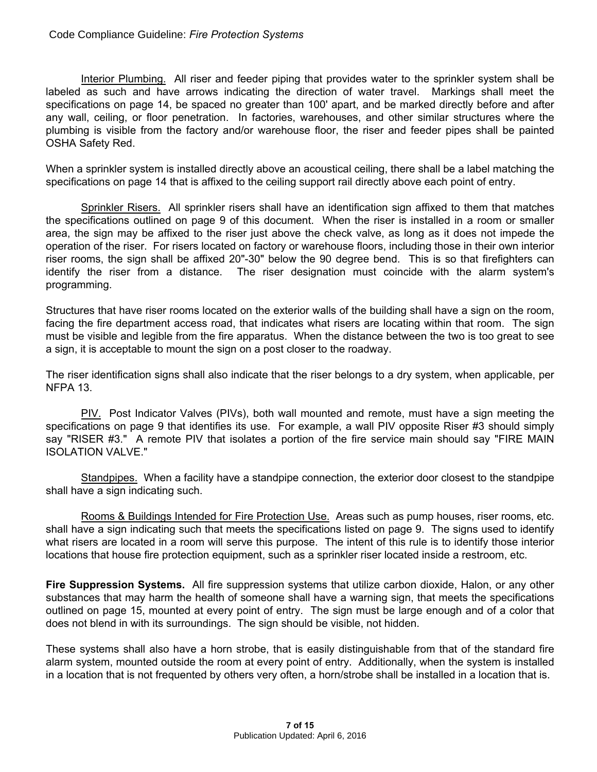Interior Plumbing. All riser and feeder piping that provides water to the sprinkler system shall be labeled as such and have arrows indicating the direction of water travel. Markings shall meet the specifications on page 14, be spaced no greater than 100' apart, and be marked directly before and after any wall, ceiling, or floor penetration. In factories, warehouses, and other similar structures where the plumbing is visible from the factory and/or warehouse floor, the riser and feeder pipes shall be painted OSHA Safety Red.

When a sprinkler system is installed directly above an acoustical ceiling, there shall be a label matching the specifications on page 14 that is affixed to the ceiling support rail directly above each point of entry.

Sprinkler Risers. All sprinkler risers shall have an identification sign affixed to them that matches the specifications outlined on page 9 of this document. When the riser is installed in a room or smaller area, the sign may be affixed to the riser just above the check valve, as long as it does not impede the operation of the riser. For risers located on factory or warehouse floors, including those in their own interior riser rooms, the sign shall be affixed 20"-30" below the 90 degree bend. This is so that firefighters can identify the riser from a distance. The riser designation must coincide with the alarm system's programming.

Structures that have riser rooms located on the exterior walls of the building shall have a sign on the room, facing the fire department access road, that indicates what risers are locating within that room. The sign must be visible and legible from the fire apparatus. When the distance between the two is too great to see a sign, it is acceptable to mount the sign on a post closer to the roadway.

The riser identification signs shall also indicate that the riser belongs to a dry system, when applicable, per NFPA 13.

PIV. Post Indicator Valves (PIVs), both wall mounted and remote, must have a sign meeting the specifications on page 9 that identifies its use. For example, a wall PIV opposite Riser #3 should simply say "RISER #3." A remote PIV that isolates a portion of the fire service main should say "FIRE MAIN ISOLATION VALVE."

Standpipes. When a facility have a standpipe connection, the exterior door closest to the standpipe shall have a sign indicating such.

Rooms & Buildings Intended for Fire Protection Use. Areas such as pump houses, riser rooms, etc. shall have a sign indicating such that meets the specifications listed on page 9. The signs used to identify what risers are located in a room will serve this purpose. The intent of this rule is to identify those interior locations that house fire protection equipment, such as a sprinkler riser located inside a restroom, etc.

**Fire Suppression Systems.** All fire suppression systems that utilize carbon dioxide, Halon, or any other substances that may harm the health of someone shall have a warning sign, that meets the specifications outlined on page 15, mounted at every point of entry. The sign must be large enough and of a color that does not blend in with its surroundings. The sign should be visible, not hidden.

These systems shall also have a horn strobe, that is easily distinguishable from that of the standard fire alarm system, mounted outside the room at every point of entry. Additionally, when the system is installed in a location that is not frequented by others very often, a horn/strobe shall be installed in a location that is.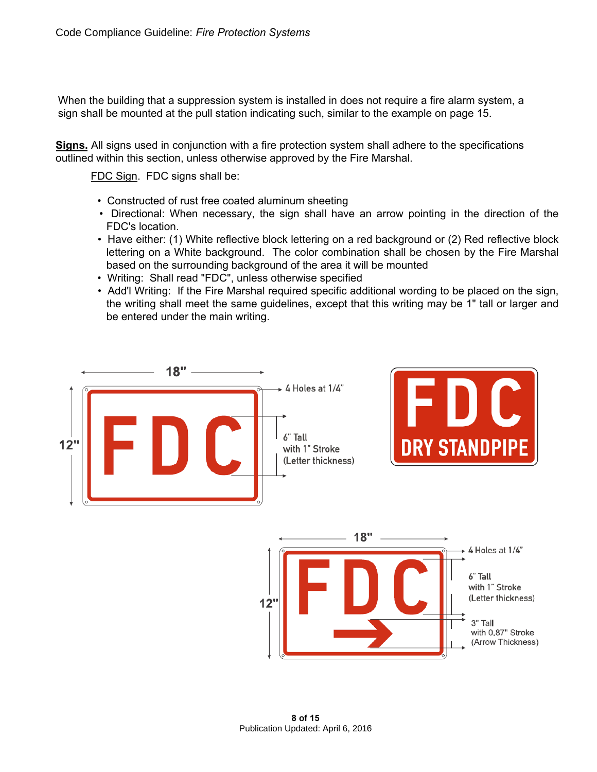When the building that a suppression system is installed in does not require a fire alarm system, a sign shall be mounted at the pull station indicating such, similar to the example on page 15.

**Signs.** All signs used in conjunction with a fire protection system shall adhere to the specifications outlined within this section, unless otherwise approved by the Fire Marshal.

FDC Sign. FDC signs shall be:

- Constructed of rust free coated aluminum sheeting
- Directional: When necessary, the sign shall have an arrow pointing in the direction of the FDC's location.
- Have either: (1) White reflective block lettering on a red background or (2) Red reflective block lettering on a White background. The color combination shall be chosen by the Fire Marshal based on the surrounding background of the area it will be mounted
- Writing: Shall read "FDC", unless otherwise specified
- Add'l Writing: If the Fire Marshal required specific additional wording to be placed on the sign, the writing shall meet the same guidelines, except that this writing may be 1" tall or larger and be entered under the main writing.

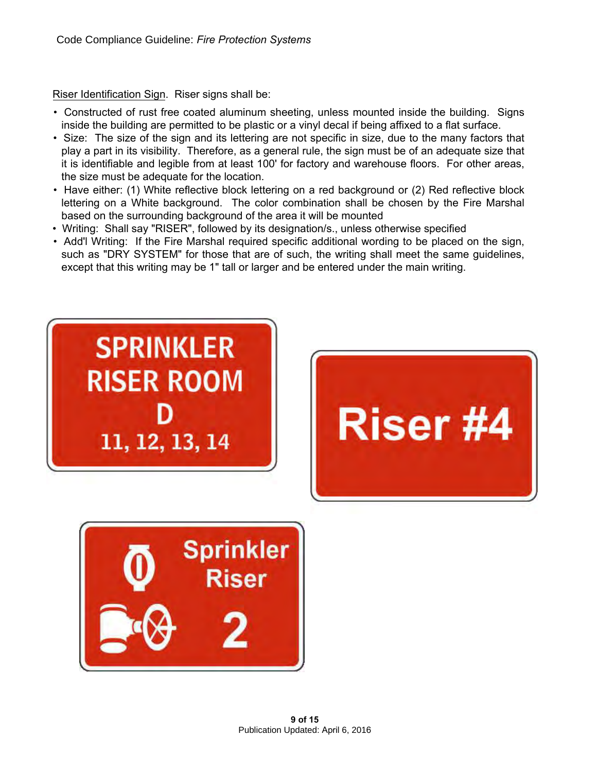Riser Identification Sign. Riser signs shall be:

- Constructed of rust free coated aluminum sheeting, unless mounted inside the building. Signs inside the building are permitted to be plastic or a vinyl decal if being affixed to a flat surface.
- Size: The size of the sign and its lettering are not specific in size, due to the many factors that play a part in its visibility. Therefore, as a general rule, the sign must be of an adequate size that it is identifiable and legible from at least 100' for factory and warehouse floors. For other areas, the size must be adequate for the location.
- Have either: (1) White reflective block lettering on a red background or (2) Red reflective block lettering on a White background. The color combination shall be chosen by the Fire Marshal based on the surrounding background of the area it will be mounted
- Writing: Shall say "RISER", followed by its designation/s., unless otherwise specified
- Add'l Writing: If the Fire Marshal required specific additional wording to be placed on the sign, such as "DRY SYSTEM" for those that are of such, the writing shall meet the same guidelines, except that this writing may be 1" tall or larger and be entered under the main writing.





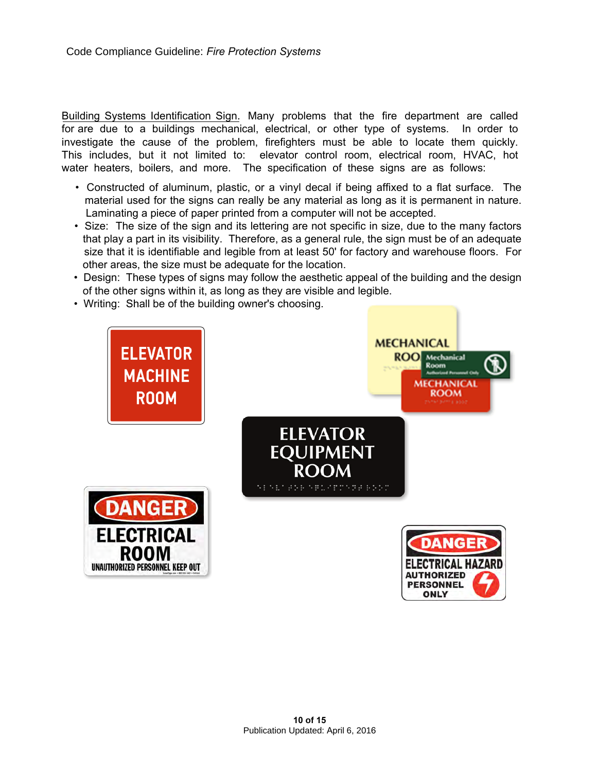Building Systems Identification Sign. Many problems that the fire department are called for are due to a buildings mechanical, electrical, or other type of systems. In order to investigate the cause of the problem, firefighters must be able to locate them quickly. This includes, but it not limited to: elevator control room, electrical room, HVAC, hot water heaters, boilers, and more. The specification of these signs are as follows:

- Constructed of aluminum, plastic, or a vinyl decal if being affixed to a flat surface. The material used for the signs can really be any material as long as it is permanent in nature. Laminating a piece of paper printed from a computer will not be accepted.
- Size: The size of the sign and its lettering are not specific in size, due to the many factors that play a part in its visibility. Therefore, as a general rule, the sign must be of an adequate size that it is identifiable and legible from at least 50' for factory and warehouse floors. For other areas, the size must be adequate for the location.
- Design: These types of signs may follow the aesthetic appeal of the building and the design of the other signs within it, as long as they are visible and legible.
- Writing: Shall be of the building owner's choosing.



**ONLY**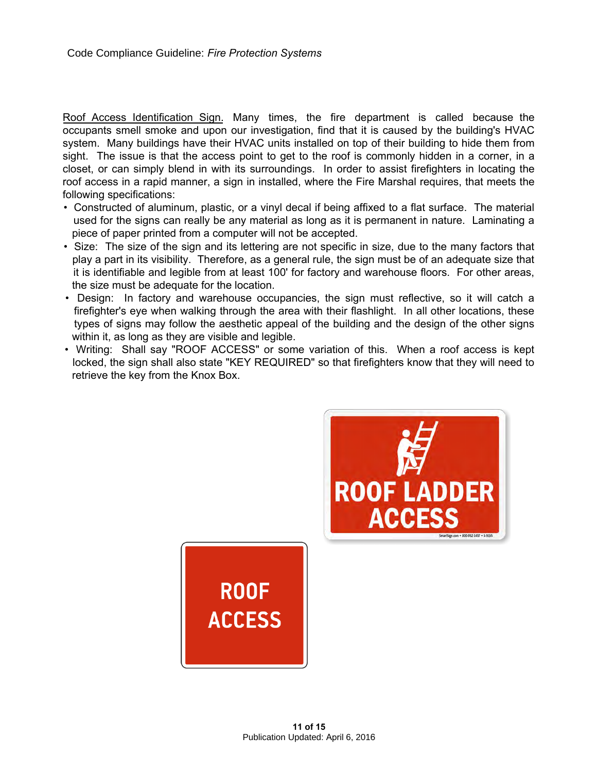Roof Access Identification Sign. Many times, the fire department is called because the occupants smell smoke and upon our investigation, find that it is caused by the building's HVAC system. Many buildings have their HVAC units installed on top of their building to hide them from sight. The issue is that the access point to get to the roof is commonly hidden in a corner, in a closet, or can simply blend in with its surroundings. In order to assist firefighters in locating the roof access in a rapid manner, a sign in installed, where the Fire Marshal requires, that meets the following specifications:

- Constructed of aluminum, plastic, or a vinyl decal if being affixed to a flat surface. The material used for the signs can really be any material as long as it is permanent in nature. Laminating a piece of paper printed from a computer will not be accepted.
- Size: The size of the sign and its lettering are not specific in size, due to the many factors that play a part in its visibility. Therefore, as a general rule, the sign must be of an adequate size that it is identifiable and legible from at least 100' for factory and warehouse floors. For other areas, the size must be adequate for the location.
- Design: In factory and warehouse occupancies, the sign must reflective, so it will catch a firefighter's eye when walking through the area with their flashlight. In all other locations, these types of signs may follow the aesthetic appeal of the building and the design of the other signs within it, as long as they are visible and legible.
- Writing: Shall say "ROOF ACCESS" or some variation of this. When a roof access is kept locked, the sign shall also state "KEY REQUIRED" so that firefighters know that they will need to retrieve the key from the Knox Box.



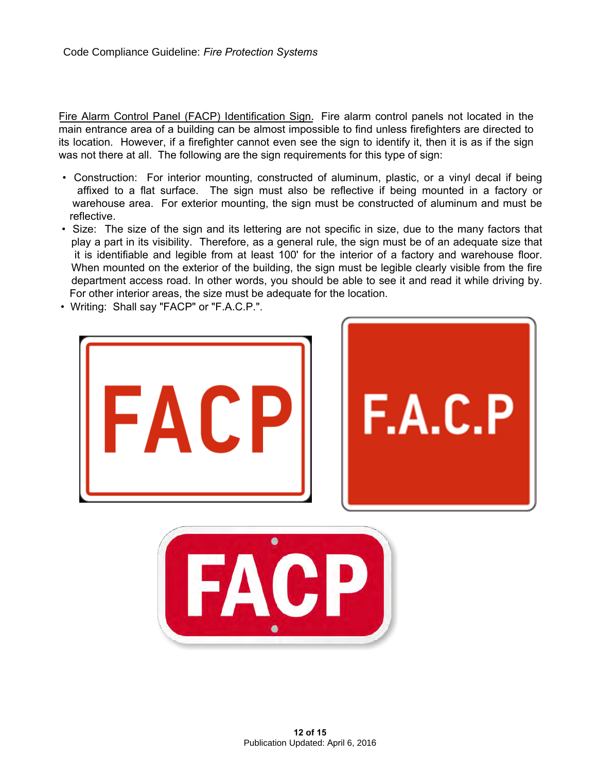Fire Alarm Control Panel (FACP) Identification Sign. Fire alarm control panels not located in the main entrance area of a building can be almost impossible to find unless firefighters are directed to its location. However, if a firefighter cannot even see the sign to identify it, then it is as if the sign was not there at all. The following are the sign requirements for this type of sign:

- Construction: For interior mounting, constructed of aluminum, plastic, or a vinyl decal if being affixed to a flat surface. The sign must also be reflective if being mounted in a factory or warehouse area. For exterior mounting, the sign must be constructed of aluminum and must be reflective.
- Size: The size of the sign and its lettering are not specific in size, due to the many factors that play a part in its visibility. Therefore, as a general rule, the sign must be of an adequate size that it is identifiable and legible from at least 100' for the interior of a factory and warehouse floor. When mounted on the exterior of the building, the sign must be legible clearly visible from the fire department access road. In other words, you should be able to see it and read it while driving by. For other interior areas, the size must be adequate for the location.
- Writing: Shall say "FACP" or "F.A.C.P.".



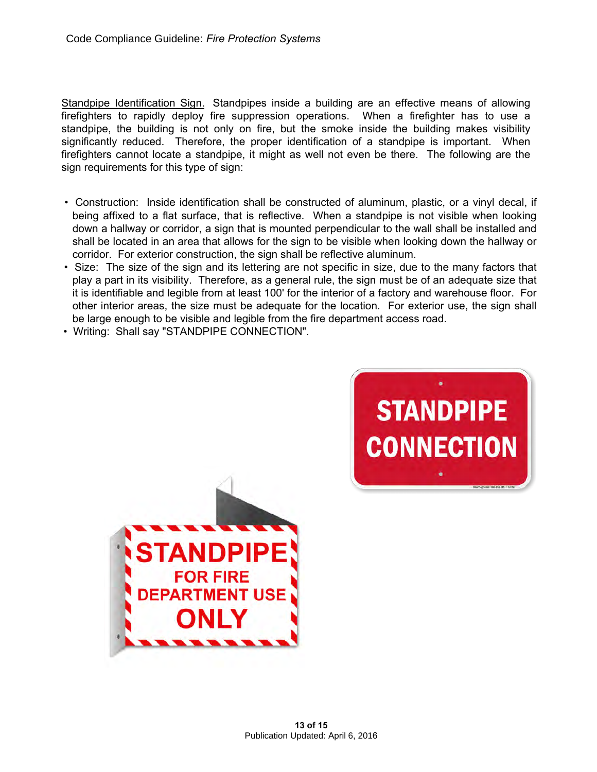Standpipe Identification Sign. Standpipes inside a building are an effective means of allowing firefighters to rapidly deploy fire suppression operations. When a firefighter has to use a standpipe, the building is not only on fire, but the smoke inside the building makes visibility significantly reduced. Therefore, the proper identification of a standpipe is important. When firefighters cannot locate a standpipe, it might as well not even be there. The following are the sign requirements for this type of sign:

- Construction: Inside identification shall be constructed of aluminum, plastic, or a vinyl decal, if being affixed to a flat surface, that is reflective. When a standpipe is not visible when looking down a hallway or corridor, a sign that is mounted perpendicular to the wall shall be installed and shall be located in an area that allows for the sign to be visible when looking down the hallway or corridor. For exterior construction, the sign shall be reflective aluminum.
- Size: The size of the sign and its lettering are not specific in size, due to the many factors that play a part in its visibility. Therefore, as a general rule, the sign must be of an adequate size that it is identifiable and legible from at least 100' for the interior of a factory and warehouse floor. For other interior areas, the size must be adequate for the location. For exterior use, the sign shall be large enough to be visible and legible from the fire department access road.

**STANDPIPE** 

**CONNECTION** 

• Writing: Shall say "STANDPIPE CONNECTION".

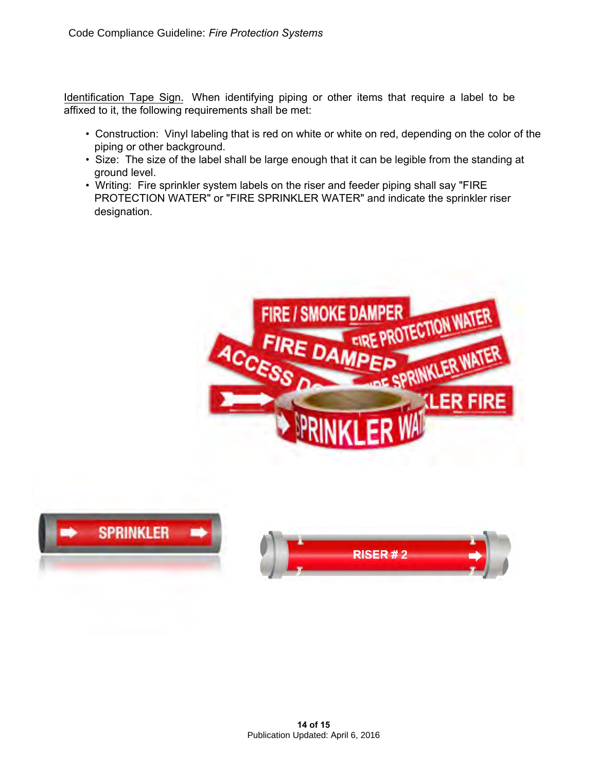Identification Tape Sign. When identifying piping or other items that require a label to be affixed to it, the following requirements shall be met:

- Construction: Vinyl labeling that is red on white or white on red, depending on the color of the piping or other background.
- Size: The size of the label shall be large enough that it can be legible from the standing at ground level.
- Writing: Fire sprinkler system labels on the riser and feeder piping shall say "FIRE PROTECTION WATER" or "FIRE SPRINKLER WATER" and indicate the sprinkler riser designation.